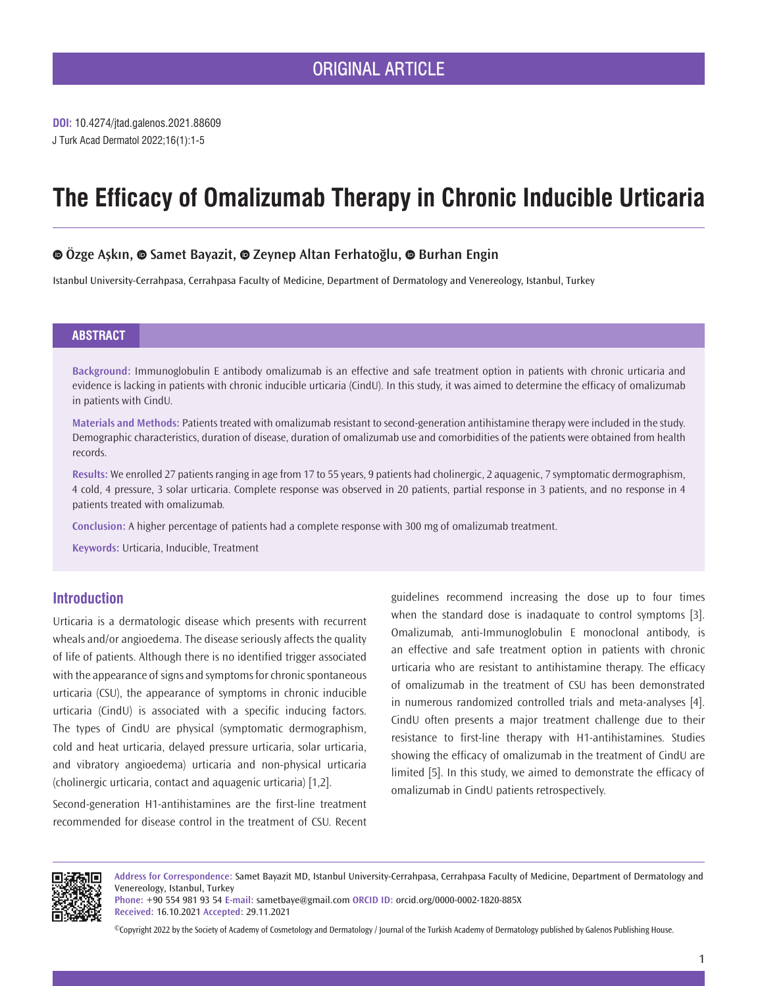# **The Efficacy of Omalizumab Therapy in Chronic Inducible Urticaria**

# **Özge Aşkın, [S](https://orcid.org/0000-0002-1820-885X)amet Bayazit, [Z](https://orcid.org/0000-0003-3090-656X)eynep Altan Ferhatoğlu,Burhan Engin**

Istanbul University-Cerrahpasa, Cerrahpasa Faculty of Medicine, Department of Dermatology and Venereology, Istanbul, Turkey

## **ABSTRACT**

**Background:** Immunoglobulin E antibody omalizumab is an effective and safe treatment option in patients with chronic urticaria and evidence is lacking in patients with chronic inducible urticaria (CindU). In this study, it was aimed to determine the efficacy of omalizumab in patients with CindU.

**Materials and Methods:** Patients treated with omalizumab resistant to second-generation antihistamine therapy were included in the study. Demographic characteristics, duration of disease, duration of omalizumab use and comorbidities of the patients were obtained from health records.

**Results:** We enrolled 27 patients ranging in age from 17 to 55 years, 9 patients had cholinergic, 2 aquagenic, 7 symptomatic dermographism, 4 cold, 4 pressure, 3 solar urticaria. Complete response was observed in 20 patients, partial response in 3 patients, and no response in 4 patients treated with omalizumab.

**Conclusion:** A higher percentage of patients had a complete response with 300 mg of omalizumab treatment.

**Keywords:** Urticaria, Inducible, Treatment

## **Introduction**

Urticaria is a dermatologic disease which presents with recurrent wheals and/or angioedema. The disease seriously affects the quality of life of patients. Although there is no identified trigger associated with the appearance of signs and symptoms for chronic spontaneous urticaria (CSU), the appearance of symptoms in chronic inducible urticaria (CindU) is associated with a specific inducing factors. The types of CindU are physical (symptomatic dermographism, cold and heat urticaria, delayed pressure urticaria, solar urticaria, and vibratory angioedema) urticaria and non-physical urticaria (cholinergic urticaria, contact and aquagenic urticaria) [1,2].

Second-generation H1-antihistamines are the first-line treatment recommended for disease control in the treatment of CSU. Recent

guidelines recommend increasing the dose up to four times when the standard dose is inadaquate to control symptoms [3]. Omalizumab, anti-Immunoglobulin E monoclonal antibody, is an effective and safe treatment option in patients with chronic urticaria who are resistant to antihistamine therapy. The efficacy of omalizumab in the treatment of CSU has been demonstrated in numerous randomized controlled trials and meta-analyses [4]. CindU often presents a major treatment challenge due to their resistance to first-line therapy with H1-antihistamines. Studies showing the efficacy of omalizumab in the treatment of CindU are limited [5]. In this study, we aimed to demonstrate the efficacy of omalizumab in CindU patients retrospectively.



**Address for Correspondence:** Samet Bayazit MD, Istanbul University-Cerrahpasa, Cerrahpasa Faculty of Medicine, Department of Dermatology and Venereology, Istanbul, Turkey

**Phone:** +90 554 981 93 54 **E-mail:** sametbaye@gmail.com **ORCID ID:** orcid.org/0000-0002-1820-885X **Received:** 16.10.2021 **Accepted:** 29.11.2021

©Copyright 2022 by the Society of Academy of Cosmetology and Dermatology / Journal of the Turkish Academy of Dermatology published by Galenos Publishing House.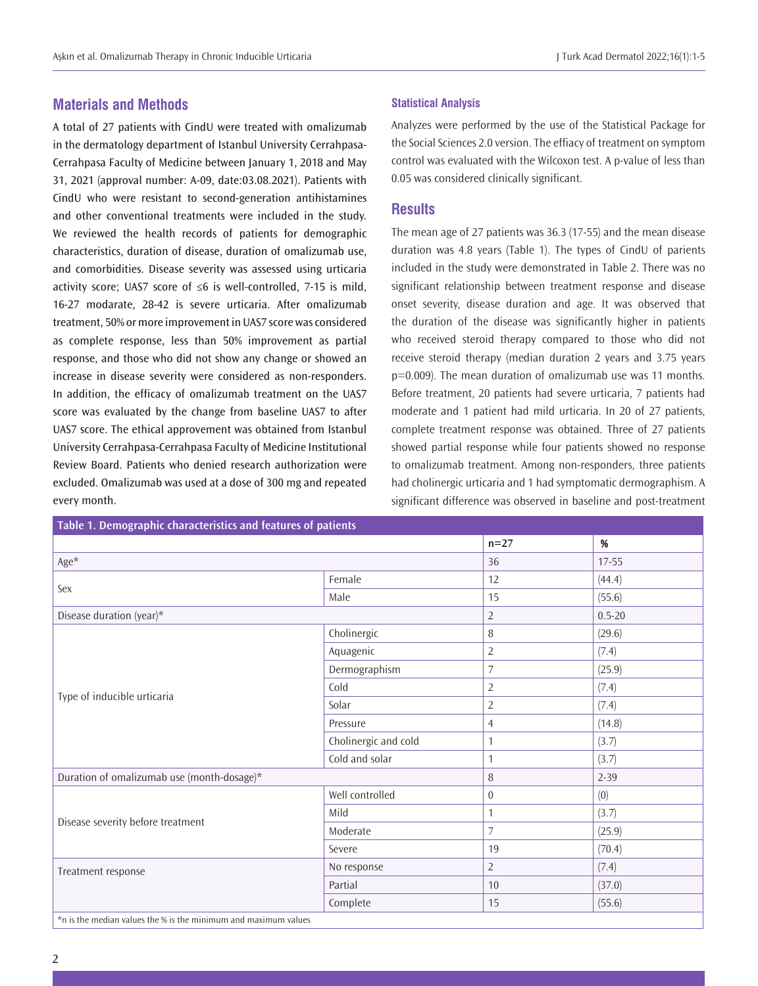# **Materials and Methods**

A total of 27 patients with CindU were treated with omalizumab in the dermatology department of Istanbul University Cerrahpasa-Cerrahpasa Faculty of Medicine between January 1, 2018 and May 31, 2021 (approval number: A-09, date:03.08.2021). Patients with CindU who were resistant to second-generation antihistamines and other conventional treatments were included in the study. We reviewed the health records of patients for demographic characteristics, duration of disease, duration of omalizumab use, and comorbidities. Disease severity was assessed using urticaria activity score; UAS7 score of ≤6 is well-controlled, 7-15 is mild, 16-27 modarate, 28-42 is severe urticaria. After omalizumab treatment, 50% or more improvement in UAS7 score was considered as complete response, less than 50% improvement as partial response, and those who did not show any change or showed an increase in disease severity were considered as non-responders. In addition, the efficacy of omalizumab treatment on the UAS7 score was evaluated by the change from baseline UAS7 to after UAS7 score. The ethical approvement was obtained from Istanbul University Cerrahpasa-Cerrahpasa Faculty of Medicine Institutional Review Board. Patients who denied research authorization were excluded. Omalizumab was used at a dose of 300 mg and repeated every month.

#### **Statistical Analysis**

Analyzes were performed by the use of the Statistical Package for the Social Sciences 2.0 version. The effiacy of treatment on symptom control was evaluated with the Wilcoxon test. A p-value of less than 0.05 was considered clinically significant.

## **Results**

The mean age of 27 patients was 36.3 (17-55) and the mean disease duration was 4.8 years (Table 1). The types of CindU of parients included in the study were demonstrated in Table 2. There was no significant relationship between treatment response and disease onset severity, disease duration and age. It was observed that the duration of the disease was significantly higher in patients who received steroid therapy compared to those who did not receive steroid therapy (median duration 2 years and 3.75 years p=0.009). The mean duration of omalizumab use was 11 months. Before treatment, 20 patients had severe urticaria, 7 patients had moderate and 1 patient had mild urticaria. In 20 of 27 patients, complete treatment response was obtained. Three of 27 patients showed partial response while four patients showed no response to omalizumab treatment. Among non-responders, three patients had cholinergic urticaria and 1 had symptomatic dermographism. A significant difference was observed in baseline and post-treatment

| Table 1. Demographic characteristics and features of patients       |                      |                  |            |
|---------------------------------------------------------------------|----------------------|------------------|------------|
|                                                                     |                      | $n=27$           | %          |
| Age*                                                                |                      | 36               | $17 - 55$  |
|                                                                     | Female               | 12               | (44.4)     |
| Sex                                                                 | Male                 | 15               | (55.6)     |
| Disease duration (year)*                                            |                      | $\sqrt{2}$       | $0.5 - 20$ |
|                                                                     | Cholinergic          | $\, 8$           | (29.6)     |
|                                                                     | Aquagenic            | $\overline{2}$   | (7.4)      |
|                                                                     | Dermographism        | $\overline{7}$   | (25.9)     |
| Type of inducible urticaria                                         | Cold                 | $\overline{2}$   | (7.4)      |
|                                                                     | Solar                | $\overline{2}$   | (7.4)      |
|                                                                     | Pressure             | $\overline{4}$   | (14.8)     |
|                                                                     | Cholinergic and cold | $\mathbf{1}$     | (3.7)      |
|                                                                     | Cold and solar       | $\mathbf{1}$     | (3.7)      |
| Duration of omalizumab use (month-dosage)*                          |                      | 8                | $2 - 39$   |
| Disease severity before treatment                                   | Well controlled      | $\boldsymbol{0}$ | (0)        |
|                                                                     | Mild                 | $\mathbf{1}$     | (3.7)      |
|                                                                     | Moderate             | 7                | (25.9)     |
|                                                                     | Severe               | 19               | (70.4)     |
| Treatment response                                                  | No response          | $\overline{2}$   | (7.4)      |
|                                                                     | Partial              | 10               | (37.0)     |
|                                                                     | Complete             | 15               | (55.6)     |
| the is the modian values the 14 is the minimum and may imum values. |                      |                  |            |

\*n is the median values the % is the minimum and maximum values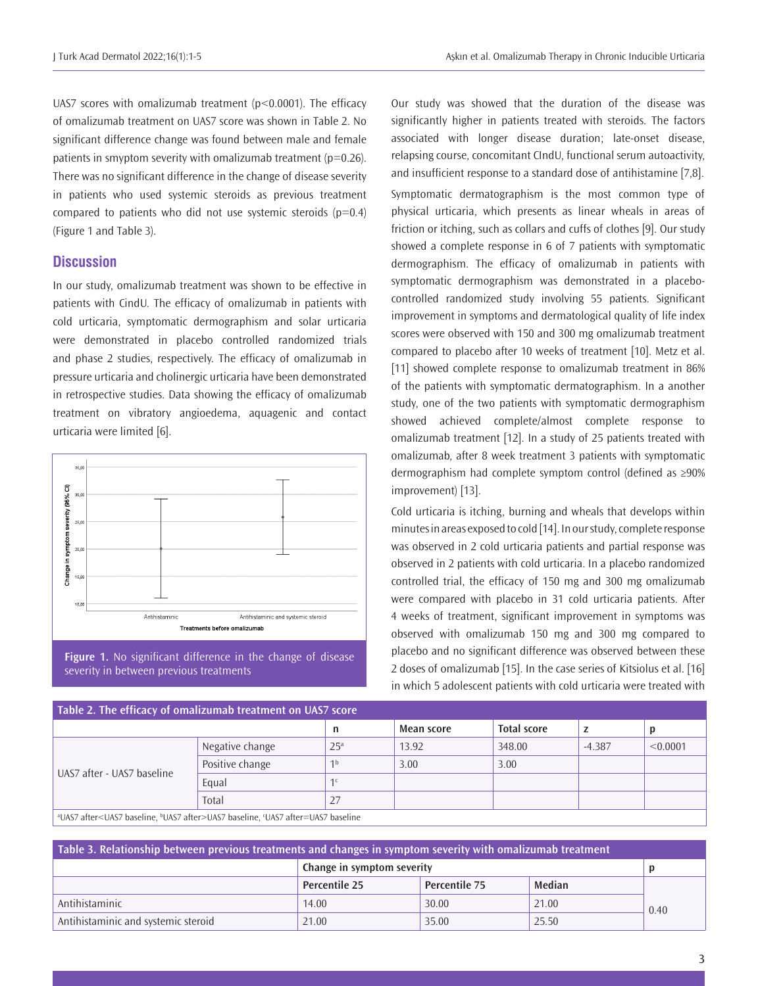UAS7 scores with omalizumab treatment ( $p < 0.0001$ ). The efficacy of omalizumab treatment on UAS7 score was shown in Table 2. No significant difference change was found between male and female patients in smyptom severity with omalizumab treatment ( $p=0.26$ ). There was no significant difference in the change of disease severity in patients who used systemic steroids as previous treatment compared to patients who did not use systemic steroids  $(p=0.4)$ (Figure 1 and Table 3).

## **Discussion**

In our study, omalizumab treatment was shown to be effective in patients with CindU. The efficacy of omalizumab in patients with cold urticaria, symptomatic dermographism and solar urticaria were demonstrated in placebo controlled randomized trials and phase 2 studies, respectively. The efficacy of omalizumab in pressure urticaria and cholinergic urticaria have been demonstrated in retrospective studies. Data showing the efficacy of omalizumab treatment on vibratory angioedema, aquagenic and contact urticaria were limited [6].





Our study was showed that the duration of the disease was significantly higher in patients treated with steroids. The factors associated with longer disease duration; late-onset disease, relapsing course, concomitant CIndU, functional serum autoactivity, and insufficient response to a standard dose of antihistamine [7,8]. Symptomatic dermatographism is the most common type of physical urticaria, which presents as linear wheals in areas of friction or itching, such as collars and cuffs of clothes [9]. Our study showed a complete response in 6 of 7 patients with symptomatic dermographism. The efficacy of omalizumab in patients with symptomatic dermographism was demonstrated in a placebocontrolled randomized study involving 55 patients. Significant improvement in symptoms and dermatological quality of life index scores were observed with 150 and 300 mg omalizumab treatment compared to placebo after 10 weeks of treatment [10]. Metz et al. [11] showed complete response to omalizumab treatment in 86% of the patients with symptomatic dermatographism. In a another study, one of the two patients with symptomatic dermographism showed achieved complete/almost complete response to omalizumab treatment [12]. In a study of 25 patients treated with omalizumab, after 8 week treatment 3 patients with symptomatic dermographism had complete symptom control (defined as ≥90% improvement) [13].

Cold urticaria is itching, burning and wheals that develops within minutes in areas exposed to cold [14]. In our study, complete response was observed in 2 cold urticaria patients and partial response was observed in 2 patients with cold urticaria. In a placebo randomized controlled trial, the efficacy of 150 mg and 300 mg omalizumab were compared with placebo in 31 cold urticaria patients. After 4 weeks of treatment, significant improvement in symptoms was observed with omalizumab 150 mg and 300 mg compared to placebo and no significant difference was observed between these 2 doses of omalizumab [15]. In the case series of Kitsiolus et al. [16] in which 5 adolescent patients with cold urticaria were treated with

| Table 2. The efficacy of omalizumab treatment on UAS7 score                                                                                                                                                                   |                 |                 |            |                    |          |          |  |  |
|-------------------------------------------------------------------------------------------------------------------------------------------------------------------------------------------------------------------------------|-----------------|-----------------|------------|--------------------|----------|----------|--|--|
|                                                                                                                                                                                                                               |                 | n               | Mean score | <b>Total score</b> |          |          |  |  |
| UAS7 after - UAS7 baseline                                                                                                                                                                                                    | Negative change | 25 <sup>a</sup> | 13.92      | 348.00             | $-4.387$ | < 0.0001 |  |  |
|                                                                                                                                                                                                                               | Positive change | 1 <sup>b</sup>  | 3.00       | 3.00               |          |          |  |  |
|                                                                                                                                                                                                                               | Equal           | 1 <sup>c</sup>  |            |                    |          |          |  |  |
|                                                                                                                                                                                                                               | Total           | 27              |            |                    |          |          |  |  |
| SUACH LOUIS REACHEST IN THE INTERFERENCE IN THE RELEASED OF THE CHARGE IN THE U.S. IN THE U.S. IN THE U.S. IN THE U.S. IN THE U.S. IN THE U.S. IN THE U.S. IN THE U.S. IN THE U.S. IN THE U.S. IN THE U.S. IN THE U.S. IN THE |                 |                 |            |                    |          |          |  |  |

a UAS7 after<UAS7 baseline, b UAS7 after>UAS7 baseline, c UAS7 after=UAS7 baseline

| Table 3. Relationship between previous treatments and changes in symptom severity with omalizumab treatment |                            |               |        |      |  |  |  |  |
|-------------------------------------------------------------------------------------------------------------|----------------------------|---------------|--------|------|--|--|--|--|
|                                                                                                             | Change in symptom severity |               |        |      |  |  |  |  |
|                                                                                                             | <b>Percentile 25</b>       | Percentile 75 | Median |      |  |  |  |  |
| Antihistaminic                                                                                              | 14.00                      | 30.00         | 21.00  | 0.40 |  |  |  |  |
| Antihistaminic and systemic steroid                                                                         | 21.00                      | 35.00         | 25.50  |      |  |  |  |  |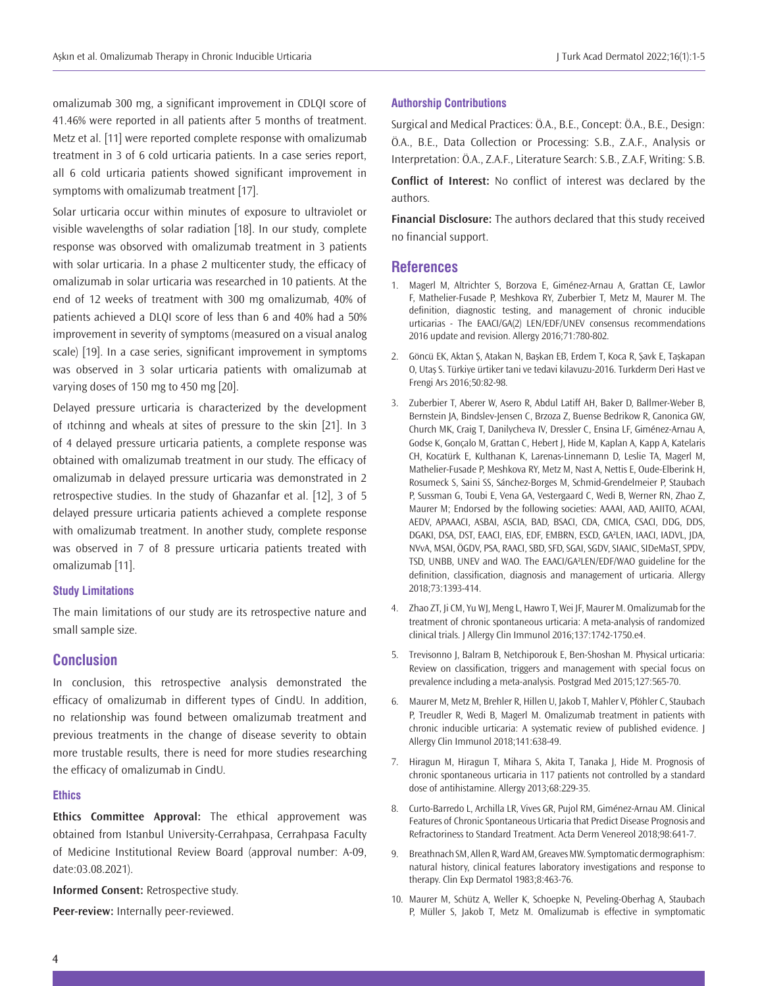omalizumab 300 mg, a significant improvement in CDLQI score of 41.46% were reported in all patients after 5 months of treatment. Metz et al. [11] were reported complete response with omalizumab treatment in 3 of 6 cold urticaria patients. In a case series report, all 6 cold urticaria patients showed significant improvement in symptoms with omalizumab treatment [17].

Solar urticaria occur within minutes of exposure to ultraviolet or visible wavelengths of solar radiation [18]. In our study, complete response was obsorved with omalizumab treatment in 3 patients with solar urticaria. In a phase 2 multicenter study, the efficacy of omalizumab in solar urticaria was researched in 10 patients. At the end of 12 weeks of treatment with 300 mg omalizumab, 40% of patients achieved a DLQI score of less than 6 and 40% had a 50% improvement in severity of symptoms (measured on a visual analog scale) [19]. In a case series, significant improvement in symptoms was observed in 3 solar urticaria patients with omalizumab at varying doses of 150 mg to 450 mg [20].

Delayed pressure urticaria is characterized by the development of ıtchinng and wheals at sites of pressure to the skin [21]. In 3 of 4 delayed pressure urticaria patients, a complete response was obtained with omalizumab treatment in our study. The efficacy of omalizumab in delayed pressure urticaria was demonstrated in 2 retrospective studies. In the study of Ghazanfar et al. [12], 3 of 5 delayed pressure urticaria patients achieved a complete response with omalizumab treatment. In another study, complete response was observed in 7 of 8 pressure urticaria patients treated with omalizumab [11].

### **Study Limitations**

The main limitations of our study are its retrospective nature and small sample size.

## **Conclusion**

In conclusion, this retrospective analysis demonstrated the efficacy of omalizumab in different types of CindU. In addition, no relationship was found between omalizumab treatment and previous treatments in the change of disease severity to obtain more trustable results, there is need for more studies researching the efficacy of omalizumab in CindU.

## **Ethics**

**Ethics Committee Approval:** The ethical approvement was obtained from Istanbul University-Cerrahpasa, Cerrahpasa Faculty of Medicine Institutional Review Board (approval number: A-09, date:03.08.2021).

**Informed Consent:** Retrospective study.

**Peer-review:** Internally peer-reviewed.

#### **Authorship Contributions**

Surgical and Medical Practices: Ö.A., B.E., Concept: Ö.A., B.E., Design: Ö.A., B.E., Data Collection or Processing: S.B., Z.A.F., Analysis or Interpretation: Ö.A., Z.A.F., Literature Search: S.B., Z.A.F, Writing: S.B.

**Conflict of Interest:** No conflict of interest was declared by the authors.

**Financial Disclosure:** The authors declared that this study received no financial support.

#### **References**

- 1. Magerl M, Altrichter S, Borzova E, Giménez-Arnau A, Grattan CE, Lawlor F, Mathelier-Fusade P, Meshkova RY, Zuberbier T, Metz M, Maurer M. The definition, diagnostic testing, and management of chronic inducible urticarias - The EAACI/GA(2) LEN/EDF/UNEV consensus recommendations 2016 update and revision. Allergy 2016;71:780-802.
- 2. Göncü EK, Aktan Ş, Atakan N, Başkan EB, Erdem T, Koca R, Şavk E, Taşkapan O, Utaş S. Türkiye ürtiker tani ve tedavi kilavuzu-2016. Turkderm Deri Hast ve Frengi Ars 2016;50:82-98.
- 3. Zuberbier T, Aberer W, Asero R, Abdul Latiff AH, Baker D, Ballmer-Weber B, Bernstein JA, Bindslev-Jensen C, Brzoza Z, Buense Bedrikow R, Canonica GW, Church MK, Craig T, Danilycheva IV, Dressler C, Ensina LF, Giménez-Arnau A, Godse K, Gonçalo M, Grattan C, Hebert J, Hide M, Kaplan A, Kapp A, Katelaris CH, Kocatürk E, Kulthanan K, Larenas-Linnemann D, Leslie TA, Magerl M, Mathelier-Fusade P, Meshkova RY, Metz M, Nast A, Nettis E, Oude-Elberink H, Rosumeck S, Saini SS, Sánchez-Borges M, Schmid-Grendelmeier P, Staubach P, Sussman G, Toubi E, Vena GA, Vestergaard C, Wedi B, Werner RN, Zhao Z, Maurer M; Endorsed by the following societies: AAAAI, AAD, AAIITO, ACAAI, AEDV, APAAACI, ASBAI, ASCIA, BAD, BSACI, CDA, CMICA, CSACI, DDG, DDS, DGAKI, DSA, DST, EAACI, EIAS, EDF, EMBRN, ESCD, GA²LEN, IAACI, IADVL, JDA, NVvA, MSAI, ÖGDV, PSA, RAACI, SBD, SFD, SGAI, SGDV, SIAAIC, SIDeMaST, SPDV, TSD, UNBB, UNEV and WAO. The EAACI/GA²LEN/EDF/WAO guideline for the definition, classification, diagnosis and management of urticaria. Allergy 2018;73:1393-414.
- 4. Zhao ZT, Ji CM, Yu WJ, Meng L, Hawro T, Wei JF, Maurer M. Omalizumab for the treatment of chronic spontaneous urticaria: A meta-analysis of randomized clinical trials. J Allergy Clin Immunol 2016;137:1742-1750.e4.
- 5. Trevisonno J, Balram B, Netchiporouk E, Ben-Shoshan M. Physical urticaria: Review on classification, triggers and management with special focus on prevalence including a meta-analysis. Postgrad Med 2015;127:565-70.
- 6. Maurer M, Metz M, Brehler R, Hillen U, Jakob T, Mahler V, Pföhler C, Staubach P, Treudler R, Wedi B, Magerl M. Omalizumab treatment in patients with chronic inducible urticaria: A systematic review of published evidence. J Allergy Clin Immunol 2018;141:638-49.
- 7. Hiragun M, Hiragun T, Mihara S, Akita T, Tanaka J, Hide M. Prognosis of chronic spontaneous urticaria in 117 patients not controlled by a standard dose of antihistamine. Allergy 2013;68:229-35.
- 8. Curto-Barredo L, Archilla LR, Vives GR, Pujol RM, Giménez-Arnau AM. Clinical Features of Chronic Spontaneous Urticaria that Predict Disease Prognosis and Refractoriness to Standard Treatment. Acta Derm Venereol 2018;98:641-7.
- 9. Breathnach SM, Allen R, Ward AM, Greaves MW. Symptomatic dermographism: natural history, clinical features laboratory investigations and response to therapy. Clin Exp Dermatol 1983;8:463-76.
- 10. Maurer M, Schütz A, Weller K, Schoepke N, Peveling-Oberhag A, Staubach P, Müller S, Jakob T, Metz M. Omalizumab is effective in symptomatic